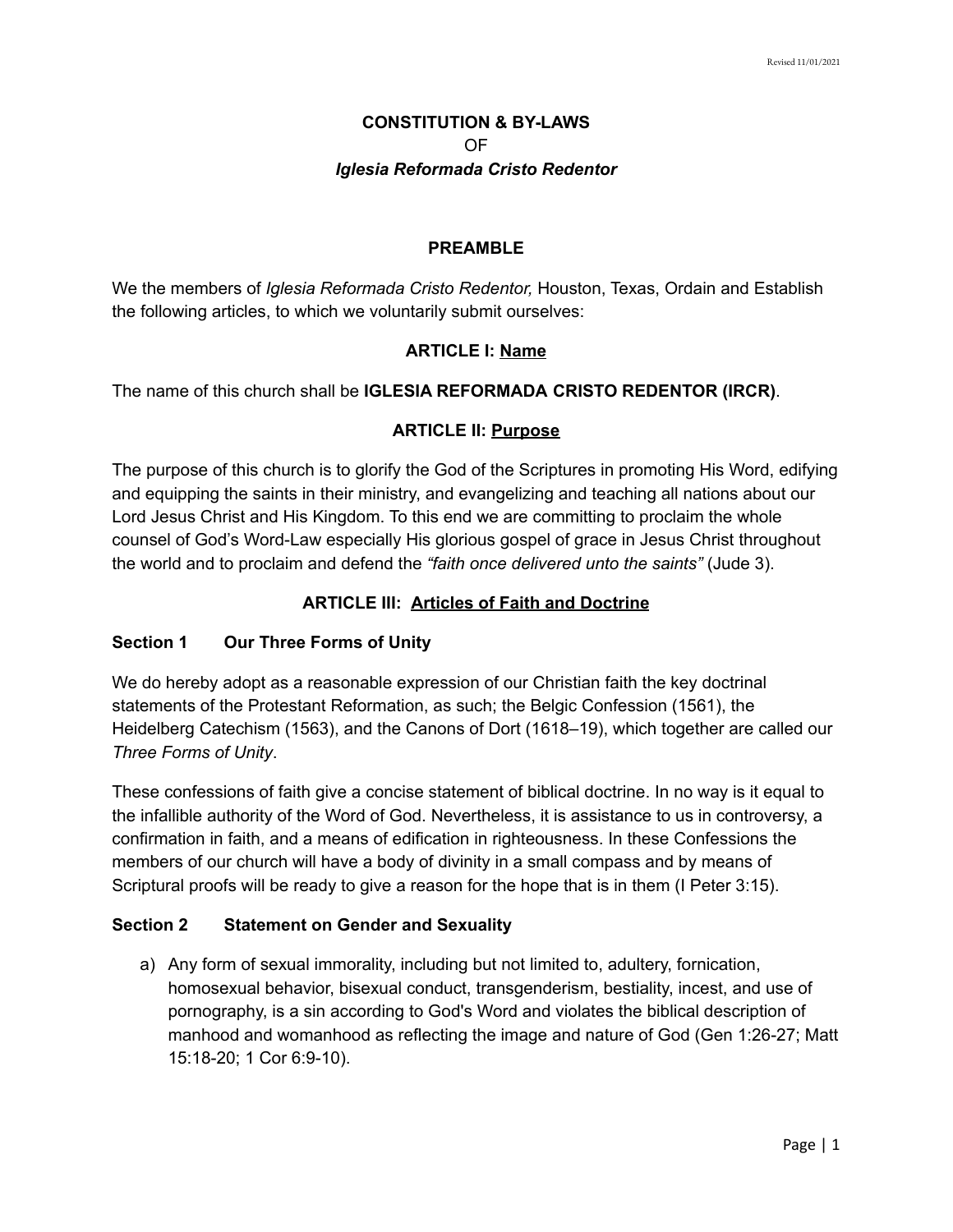# **CONSTITUTION & BY-LAWS** OF *Iglesia Reformada Cristo Redentor*

#### **PREAMBLE**

We the members of *Iglesia Reformada Cristo Redentor,* Houston, Texas, Ordain and Establish the following articles, to which we voluntarily submit ourselves:

### **ARTICLE I: Name**

The name of this church shall be **IGLESIA REFORMADA CRISTO REDENTOR (IRCR)**.

### **ARTICLE II: Purpose**

The purpose of this church is to glorify the God of the Scriptures in promoting His Word, edifying and equipping the saints in their ministry, and evangelizing and teaching all nations about our Lord Jesus Christ and His Kingdom. To this end we are committing to proclaim the whole counsel of God's Word-Law especially His glorious gospel of grace in Jesus Christ throughout the world and to proclaim and defend the *"faith once delivered unto the saints"* (Jude 3).

# **ARTICLE III: Articles of Faith and Doctrine**

### **Section 1 Our Three Forms of Unity**

We do hereby adopt as a reasonable expression of our Christian faith the key doctrinal statements of the Protestant Reformation, as such; the Belgic Confession (1561), the Heidelberg Catechism (1563), and the Canons of Dort (1618–19), which together are called our *Three Forms of Unity*.

These confessions of faith give a concise statement of biblical doctrine. In no way is it equal to the infallible authority of the Word of God. Nevertheless, it is assistance to us in controversy, a confirmation in faith, and a means of edification in righteousness. In these Confessions the members of our church will have a body of divinity in a small compass and by means of Scriptural proofs will be ready to give a reason for the hope that is in them (I Peter 3:15).

### **Section 2 Statement on Gender and Sexuality**

a) Any form of sexual immorality, including but not limited to, adultery, fornication, homosexual behavior, bisexual conduct, transgenderism, bestiality, incest, and use of pornography, is a sin according to God's Word and violates the biblical description of manhood and womanhood as reflecting the image and nature of God (Gen 1:26-27; Matt 15:18-20; 1 Cor 6:9-10).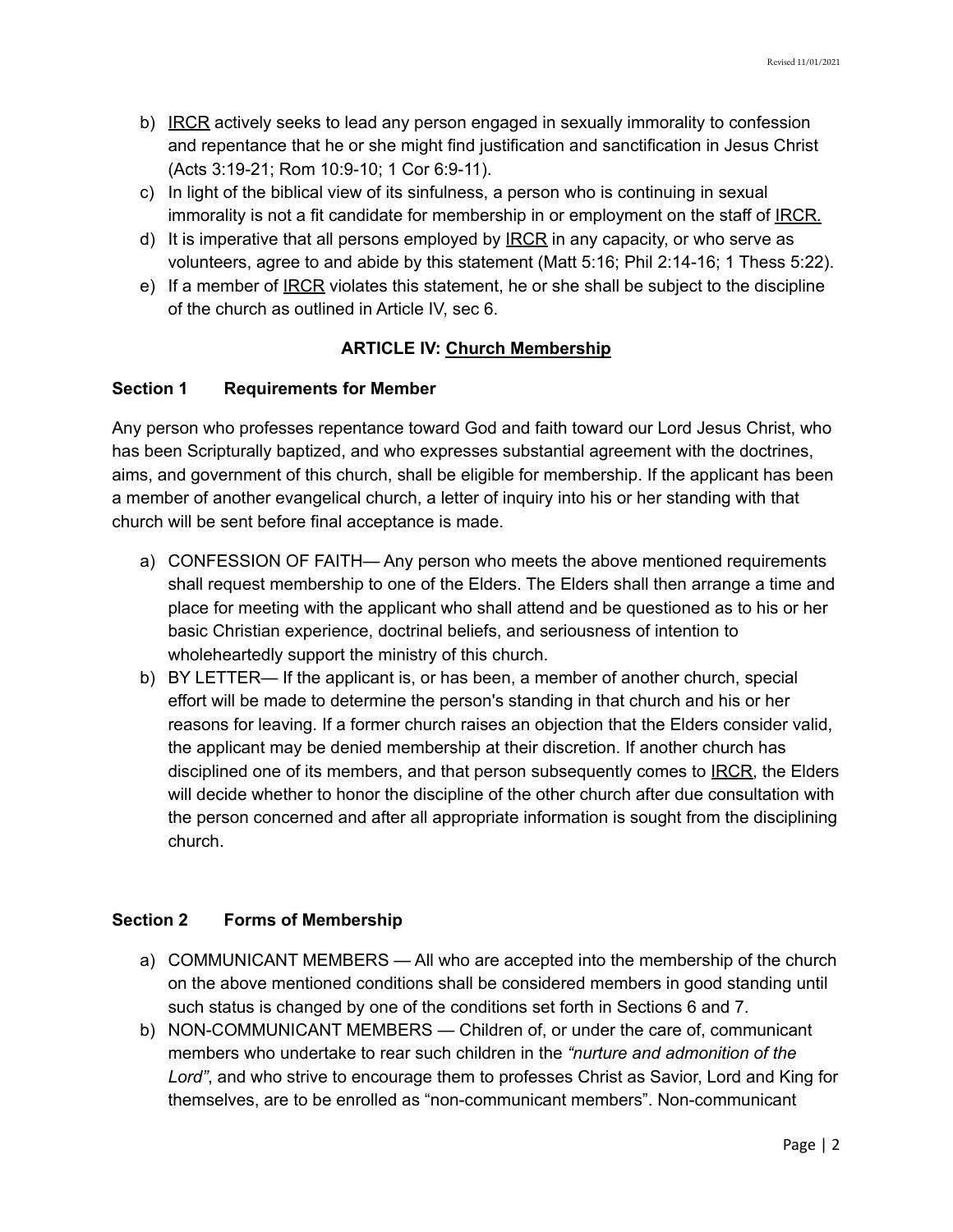- b) IRCR actively seeks to lead any person engaged in sexually immorality to confession and repentance that he or she might find justification and sanctification in Jesus Christ (Acts 3:19-21; Rom 10:9-10; 1 Cor 6:9-11).
- c) In light of the biblical view of its sinfulness, a person who is continuing in sexual immorality is not a fit candidate for membership in or employment on the staff of IRCR*.*
- d) It is imperative that all persons employed by  $IRCR$  in any capacity, or who serve as</u> volunteers, agree to and abide by this statement (Matt 5:16; Phil 2:14-16; 1 Thess 5:22).
- e) If a member of IRCR violates this statement, he or she shall be subject to the discipline of the church as outlined in Article IV, sec 6.

# **ARTICLE IV: Church Membership**

# **Section 1 Requirements for Member**

Any person who professes repentance toward God and faith toward our Lord Jesus Christ, who has been Scripturally baptized, and who expresses substantial agreement with the doctrines, aims, and government of this church, shall be eligible for membership. If the applicant has been a member of another evangelical church, a letter of inquiry into his or her standing with that church will be sent before final acceptance is made.

- a) CONFESSION OF FAITH— Any person who meets the above mentioned requirements shall request membership to one of the Elders. The Elders shall then arrange a time and place for meeting with the applicant who shall attend and be questioned as to his or her basic Christian experience, doctrinal beliefs, and seriousness of intention to wholeheartedly support the ministry of this church.
- b) BY LETTER— If the applicant is, or has been, a member of another church, special effort will be made to determine the person's standing in that church and his or her reasons for leaving. If a former church raises an objection that the Elders consider valid, the applicant may be denied membership at their discretion. If another church has disciplined one of its members, and that person subsequently comes to IRCR, the Elders will decide whether to honor the discipline of the other church after due consultation with the person concerned and after all appropriate information is sought from the disciplining church.

# **Section 2 Forms of Membership**

- a) COMMUNICANT MEMBERS All who are accepted into the membership of the church on the above mentioned conditions shall be considered members in good standing until such status is changed by one of the conditions set forth in Sections 6 and 7.
- b) NON-COMMUNICANT MEMBERS Children of, or under the care of, communicant members who undertake to rear such children in the *"nurture and admonition of the Lord"*, and who strive to encourage them to professes Christ as Savior, Lord and King for themselves, are to be enrolled as "non-communicant members". Non-communicant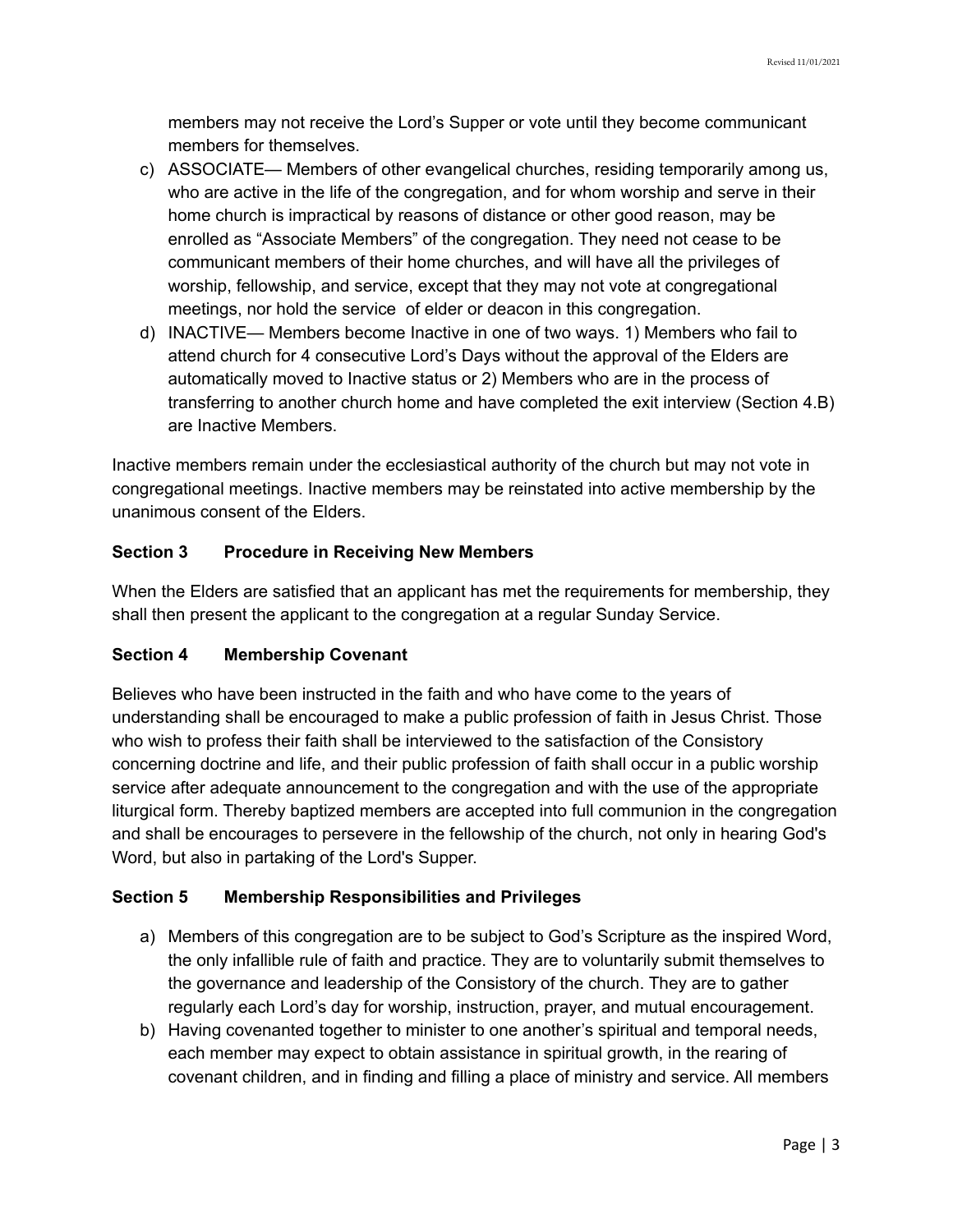members may not receive the Lord's Supper or vote until they become communicant members for themselves.

- c) ASSOCIATE— Members of other evangelical churches, residing temporarily among us, who are active in the life of the congregation, and for whom worship and serve in their home church is impractical by reasons of distance or other good reason, may be enrolled as "Associate Members" of the congregation. They need not cease to be communicant members of their home churches, and will have all the privileges of worship, fellowship, and service, except that they may not vote at congregational meetings, nor hold the service of elder or deacon in this congregation.
- d) INACTIVE— Members become Inactive in one of two ways. 1) Members who fail to attend church for 4 consecutive Lord's Days without the approval of the Elders are automatically moved to Inactive status or 2) Members who are in the process of transferring to another church home and have completed the exit interview (Section 4.B) are Inactive Members.

Inactive members remain under the ecclesiastical authority of the church but may not vote in congregational meetings. Inactive members may be reinstated into active membership by the unanimous consent of the Elders.

# **Section 3 Procedure in Receiving New Members**

When the Elders are satisfied that an applicant has met the requirements for membership, they shall then present the applicant to the congregation at a regular Sunday Service.

# **Section 4 Membership Covenant**

Believes who have been instructed in the faith and who have come to the years of understanding shall be encouraged to make a public profession of faith in Jesus Christ. Those who wish to profess their faith shall be interviewed to the satisfaction of the Consistory concerning doctrine and life, and their public profession of faith shall occur in a public worship service after adequate announcement to the congregation and with the use of the appropriate liturgical form. Thereby baptized members are accepted into full communion in the congregation and shall be encourages to persevere in the fellowship of the church, not only in hearing God's Word, but also in partaking of the Lord's Supper.

# **Section 5 Membership Responsibilities and Privileges**

- a) Members of this congregation are to be subject to God's Scripture as the inspired Word, the only infallible rule of faith and practice. They are to voluntarily submit themselves to the governance and leadership of the Consistory of the church. They are to gather regularly each Lord's day for worship, instruction, prayer, and mutual encouragement.
- b) Having covenanted together to minister to one another's spiritual and temporal needs, each member may expect to obtain assistance in spiritual growth, in the rearing of covenant children, and in finding and filling a place of ministry and service. All members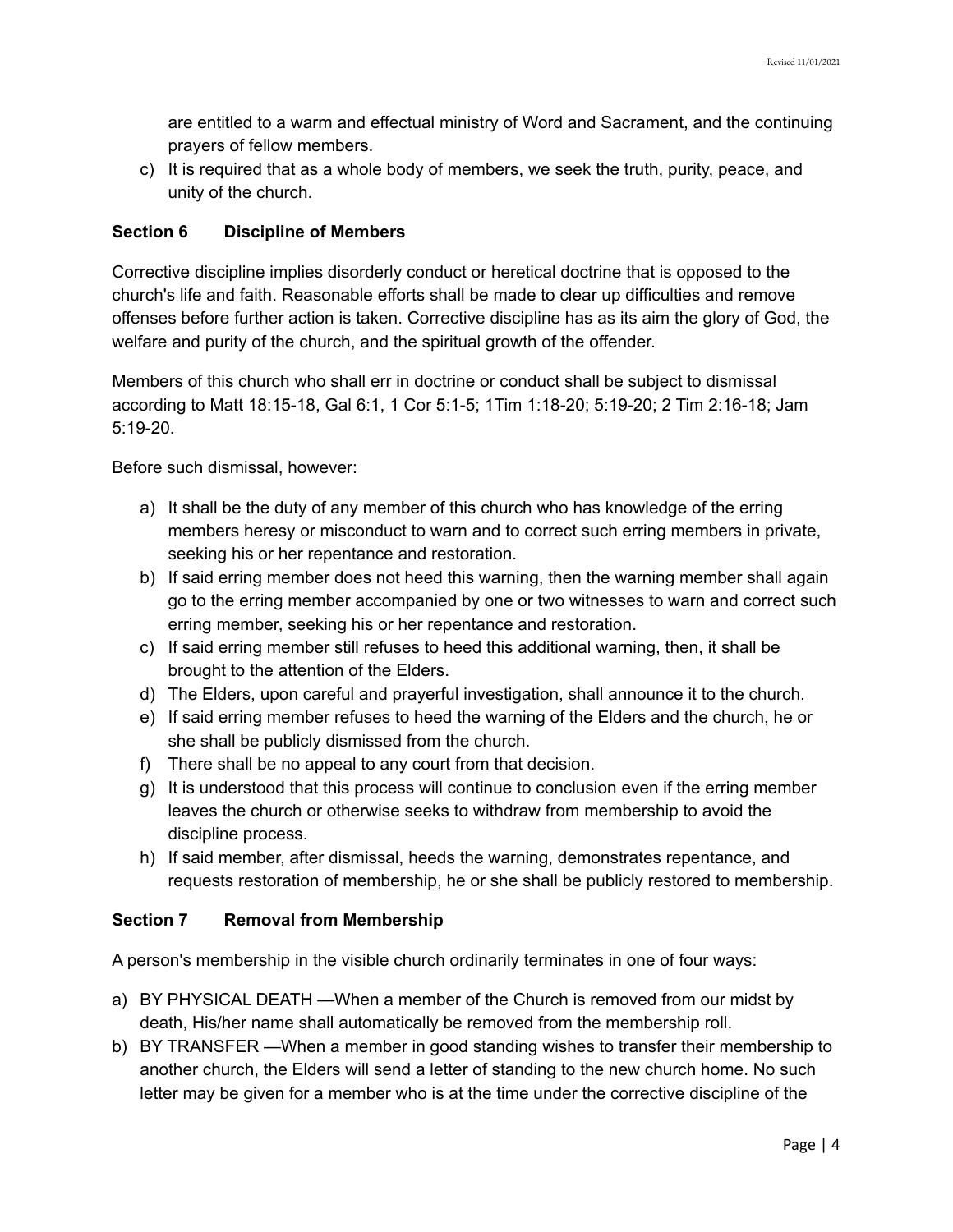are entitled to a warm and effectual ministry of Word and Sacrament, and the continuing prayers of fellow members.

c) It is required that as a whole body of members, we seek the truth, purity, peace, and unity of the church.

### **Section 6 Discipline of Members**

Corrective discipline implies disorderly conduct or heretical doctrine that is opposed to the church's life and faith. Reasonable efforts shall be made to clear up difficulties and remove offenses before further action is taken. Corrective discipline has as its aim the glory of God, the welfare and purity of the church, and the spiritual growth of the offender.

Members of this church who shall err in doctrine or conduct shall be subject to dismissal according to Matt 18:15-18, Gal 6:1, 1 Cor 5:1-5; 1Tim 1:18-20; 5:19-20; 2 Tim 2:16-18; Jam 5:19-20.

Before such dismissal, however:

- a) It shall be the duty of any member of this church who has knowledge of the erring members heresy or misconduct to warn and to correct such erring members in private, seeking his or her repentance and restoration.
- b) If said erring member does not heed this warning, then the warning member shall again go to the erring member accompanied by one or two witnesses to warn and correct such erring member, seeking his or her repentance and restoration.
- c) If said erring member still refuses to heed this additional warning, then, it shall be brought to the attention of the Elders.
- d) The Elders, upon careful and prayerful investigation, shall announce it to the church.
- e) If said erring member refuses to heed the warning of the Elders and the church, he or she shall be publicly dismissed from the church.
- f) There shall be no appeal to any court from that decision.
- g) It is understood that this process will continue to conclusion even if the erring member leaves the church or otherwise seeks to withdraw from membership to avoid the discipline process.
- h) If said member, after dismissal, heeds the warning, demonstrates repentance, and requests restoration of membership, he or she shall be publicly restored to membership.

### **Section 7 Removal from Membership**

A person's membership in the visible church ordinarily terminates in one of four ways:

- a) BY PHYSICAL DEATH —When a member of the Church is removed from our midst by death, His/her name shall automatically be removed from the membership roll.
- b) BY TRANSFER —When a member in good standing wishes to transfer their membership to another church, the Elders will send a letter of standing to the new church home. No such letter may be given for a member who is at the time under the corrective discipline of the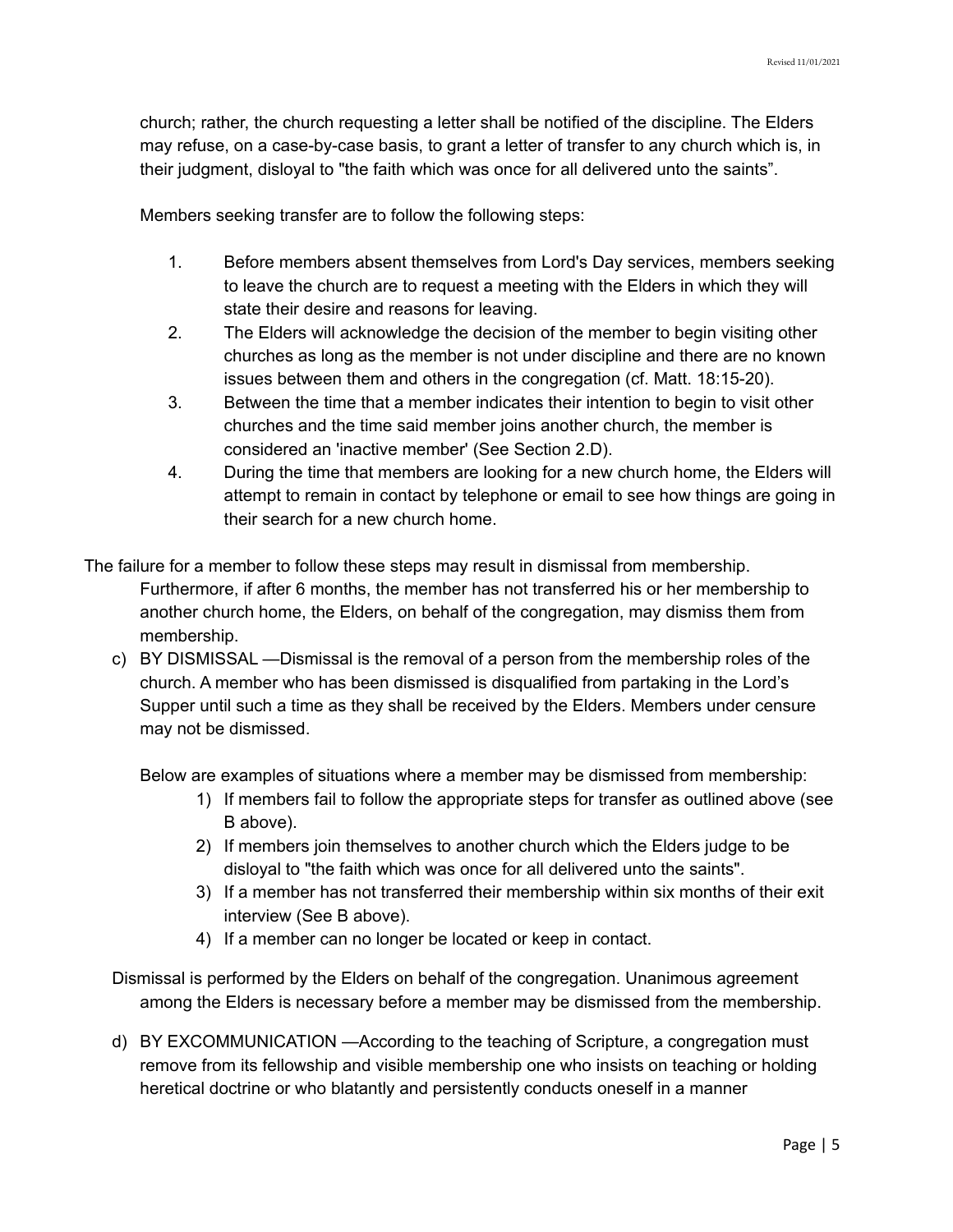church; rather, the church requesting a letter shall be notified of the discipline. The Elders may refuse, on a case-by-case basis, to grant a letter of transfer to any church which is, in their judgment, disloyal to "the faith which was once for all delivered unto the saints".

Members seeking transfer are to follow the following steps:

- 1. Before members absent themselves from Lord's Day services, members seeking to leave the church are to request a meeting with the Elders in which they will state their desire and reasons for leaving.
- 2. The Elders will acknowledge the decision of the member to begin visiting other churches as long as the member is not under discipline and there are no known issues between them and others in the congregation (cf. Matt. 18:15-20).
- 3. Between the time that a member indicates their intention to begin to visit other churches and the time said member joins another church, the member is considered an 'inactive member' (See Section 2.D).
- 4. During the time that members are looking for a new church home, the Elders will attempt to remain in contact by telephone or email to see how things are going in their search for a new church home.
- The failure for a member to follow these steps may result in dismissal from membership. Furthermore, if after 6 months, the member has not transferred his or her membership to another church home, the Elders, on behalf of the congregation, may dismiss them from membership.
	- c) BY DISMISSAL —Dismissal is the removal of a person from the membership roles of the church. A member who has been dismissed is disqualified from partaking in the Lord's Supper until such a time as they shall be received by the Elders. Members under censure may not be dismissed.

Below are examples of situations where a member may be dismissed from membership:

- 1) If members fail to follow the appropriate steps for transfer as outlined above (see B above).
- 2) If members join themselves to another church which the Elders judge to be disloyal to "the faith which was once for all delivered unto the saints".
- 3) If a member has not transferred their membership within six months of their exit interview (See B above).
- 4) If a member can no longer be located or keep in contact.
- Dismissal is performed by the Elders on behalf of the congregation. Unanimous agreement among the Elders is necessary before a member may be dismissed from the membership.
- d) BY EXCOMMUNICATION —According to the teaching of Scripture, a congregation must remove from its fellowship and visible membership one who insists on teaching or holding heretical doctrine or who blatantly and persistently conducts oneself in a manner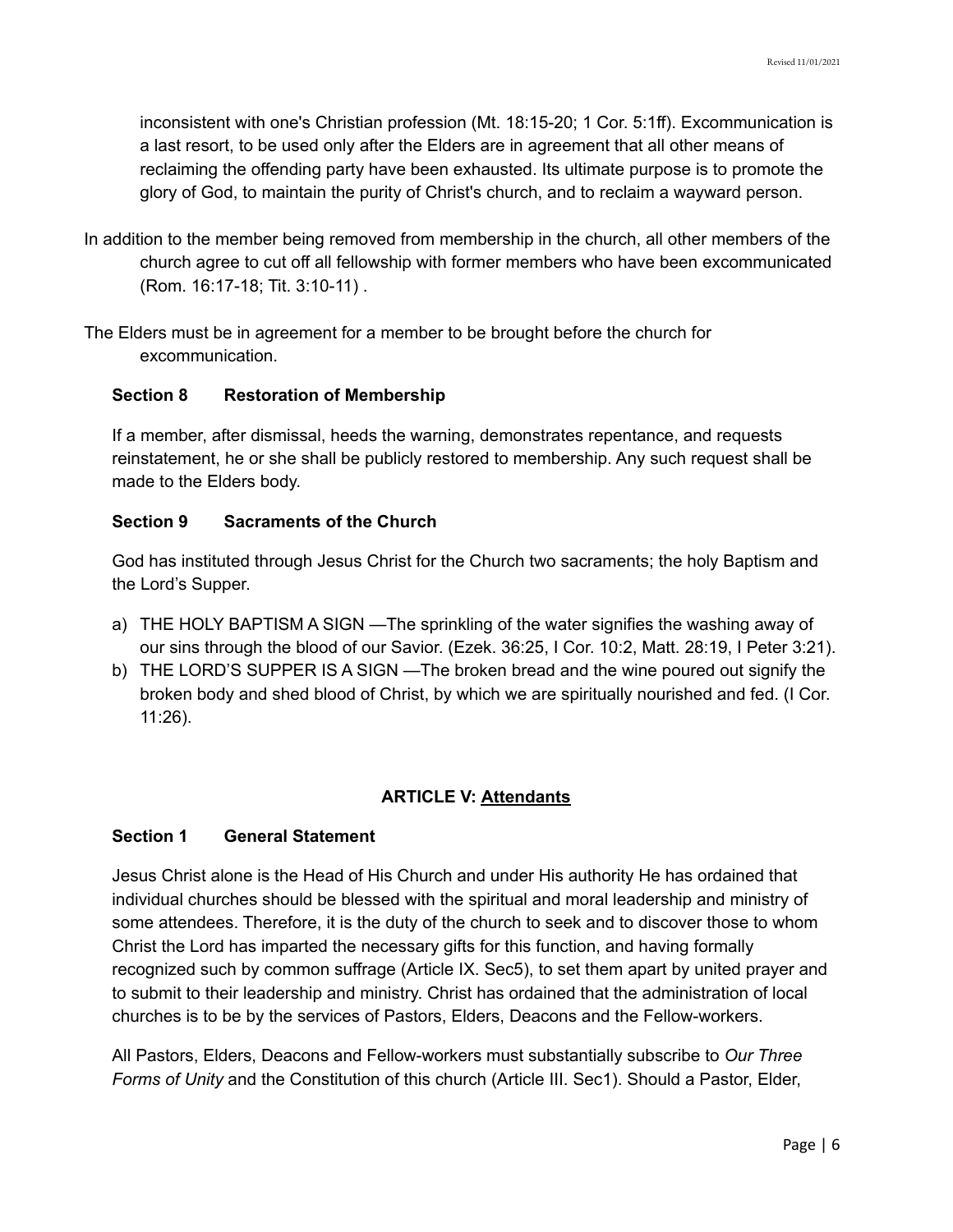inconsistent with one's Christian profession (Mt. 18:15-20; 1 Cor. 5:1ff). Excommunication is a last resort, to be used only after the Elders are in agreement that all other means of reclaiming the offending party have been exhausted. Its ultimate purpose is to promote the glory of God, to maintain the purity of Christ's church, and to reclaim a wayward person.

- In addition to the member being removed from membership in the church, all other members of the church agree to cut off all fellowship with former members who have been excommunicated (Rom. 16:17-18; Tit. 3:10-11) .
- The Elders must be in agreement for a member to be brought before the church for excommunication.

#### **Section 8 Restoration of Membership**

If a member, after dismissal, heeds the warning, demonstrates repentance, and requests reinstatement, he or she shall be publicly restored to membership. Any such request shall be made to the Elders body.

#### **Section 9 Sacraments of the Church**

God has instituted through Jesus Christ for the Church two sacraments; the holy Baptism and the Lord's Supper.

- a) THE HOLY BAPTISM A SIGN —The sprinkling of the water signifies the washing away of our sins through the blood of our Savior. (Ezek. 36:25, I Cor. 10:2, Matt. 28:19, I Peter 3:21).
- b) THE LORD'S SUPPER IS A SIGN —The broken bread and the wine poured out signify the broken body and shed blood of Christ, by which we are spiritually nourished and fed. (I Cor. 11:26).

### **ARTICLE V: Attendants**

#### **Section 1 General Statement**

Jesus Christ alone is the Head of His Church and under His authority He has ordained that individual churches should be blessed with the spiritual and moral leadership and ministry of some attendees. Therefore, it is the duty of the church to seek and to discover those to whom Christ the Lord has imparted the necessary gifts for this function, and having formally recognized such by common suffrage (Article IX. Sec5), to set them apart by united prayer and to submit to their leadership and ministry. Christ has ordained that the administration of local churches is to be by the services of Pastors, Elders, Deacons and the Fellow-workers.

All Pastors, Elders, Deacons and Fellow-workers must substantially subscribe to *Our Three Forms of Unity* and the Constitution of this church (Article III. Sec1). Should a Pastor, Elder,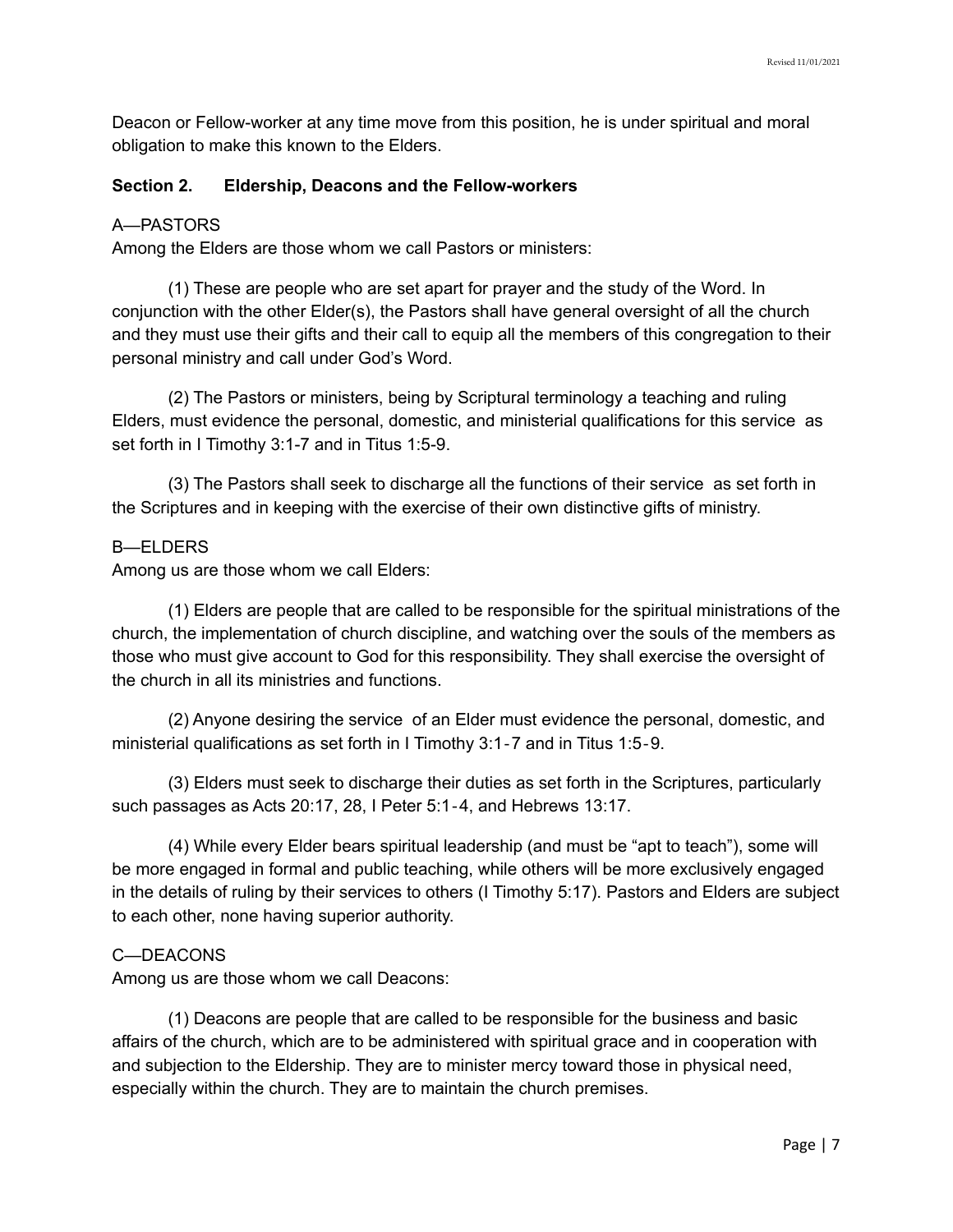Deacon or Fellow-worker at any time move from this position, he is under spiritual and moral obligation to make this known to the Elders.

#### **Section 2. Eldership, Deacons and the Fellow-workers**

#### A—PASTORS

Among the Elders are those whom we call Pastors or ministers:

(1) These are people who are set apart for prayer and the study of the Word. In conjunction with the other Elder(s), the Pastors shall have general oversight of all the church and they must use their gifts and their call to equip all the members of this congregation to their personal ministry and call under God's Word.

(2) The Pastors or ministers, being by Scriptural terminology a teaching and ruling Elders, must evidence the personal, domestic, and ministerial qualifications for this service as set forth in I Timothy 3:1-7 and in Titus 1:5-9.

(3) The Pastors shall seek to discharge all the functions of their service as set forth in the Scriptures and in keeping with the exercise of their own distinctive gifts of ministry.

#### B—ELDERS

Among us are those whom we call Elders:

(1) Elders are people that are called to be responsible for the spiritual ministrations of the church, the implementation of church discipline, and watching over the souls of the members as those who must give account to God for this responsibility. They shall exercise the oversight of the church in all its ministries and functions.

(2) Anyone desiring the service of an Elder must evidence the personal, domestic, and ministerial qualifications as set forth in I Timothy 3:1‐7 and in Titus 1:5‐9.

(3) Elders must seek to discharge their duties as set forth in the Scriptures, particularly such passages as Acts 20:17, 28, I Peter 5:1‐4, and Hebrews 13:17.

(4) While every Elder bears spiritual leadership (and must be "apt to teach"), some will be more engaged in formal and public teaching, while others will be more exclusively engaged in the details of ruling by their services to others (I Timothy 5:17). Pastors and Elders are subject to each other, none having superior authority.

### C—DEACONS

Among us are those whom we call Deacons:

(1) Deacons are people that are called to be responsible for the business and basic affairs of the church, which are to be administered with spiritual grace and in cooperation with and subjection to the Eldership. They are to minister mercy toward those in physical need, especially within the church. They are to maintain the church premises.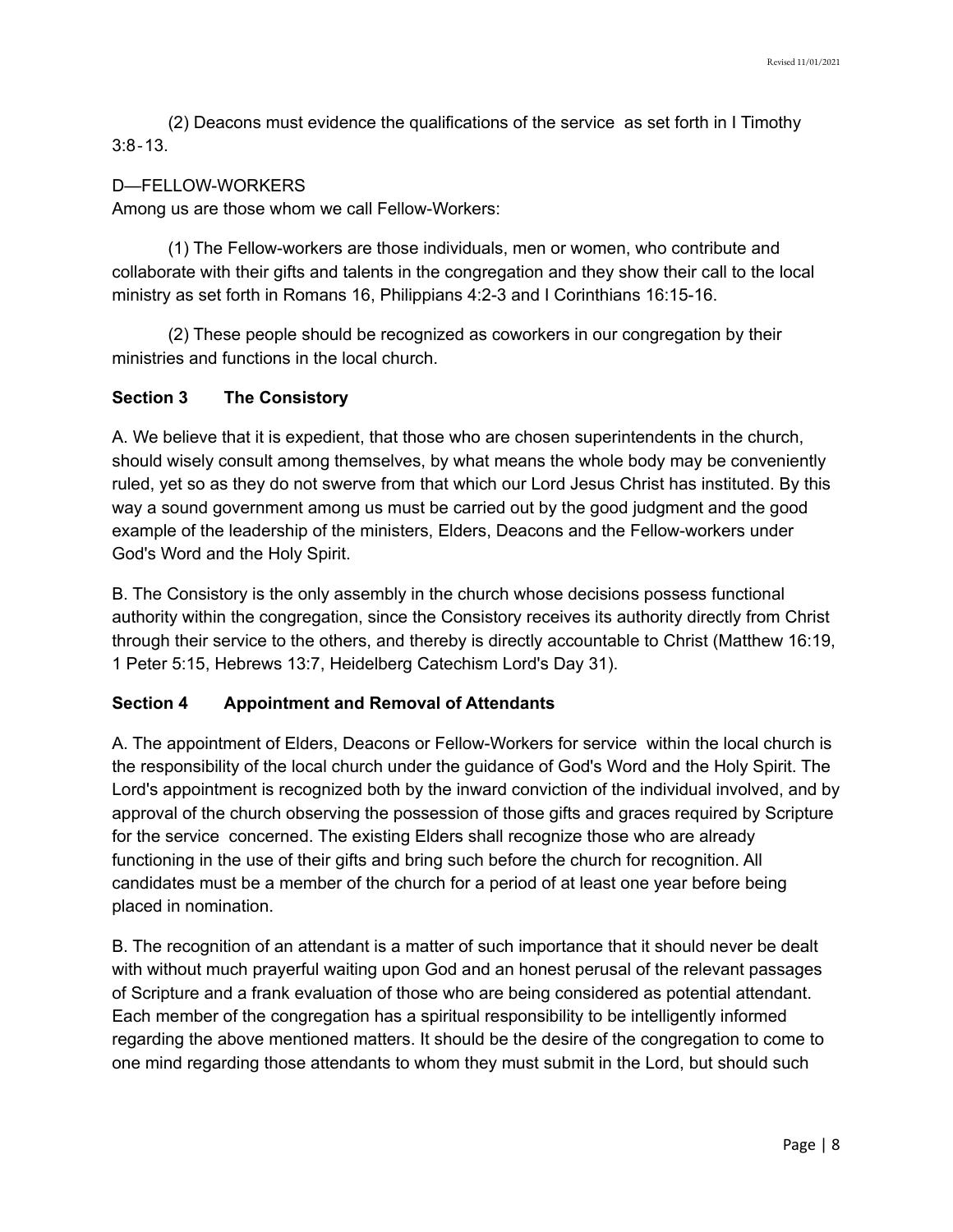(2) Deacons must evidence the qualifications of the service as set forth in I Timothy 3:8‐13.

#### D—FELLOW-WORKERS

Among us are those whom we call Fellow-Workers:

(1) The Fellow-workers are those individuals, men or women, who contribute and collaborate with their gifts and talents in the congregation and they show their call to the local ministry as set forth in Romans 16, Philippians 4:2-3 and I Corinthians 16:15-16.

(2) These people should be recognized as coworkers in our congregation by their ministries and functions in the local church.

## **Section 3 The Consistory**

A. We believe that it is expedient, that those who are chosen superintendents in the church, should wisely consult among themselves, by what means the whole body may be conveniently ruled, yet so as they do not swerve from that which our Lord Jesus Christ has instituted. By this way a sound government among us must be carried out by the good judgment and the good example of the leadership of the ministers, Elders, Deacons and the Fellow-workers under God's Word and the Holy Spirit.

B. The Consistory is the only assembly in the church whose decisions possess functional authority within the congregation, since the Consistory receives its authority directly from Christ through their service to the others, and thereby is directly accountable to Christ (Matthew 16:19, 1 Peter 5:15, Hebrews 13:7, Heidelberg Catechism Lord's Day 31).

### **Section 4 Appointment and Removal of Attendants**

A. The appointment of Elders, Deacons or Fellow-Workers for service within the local church is the responsibility of the local church under the guidance of God's Word and the Holy Spirit. The Lord's appointment is recognized both by the inward conviction of the individual involved, and by approval of the church observing the possession of those gifts and graces required by Scripture for the service concerned. The existing Elders shall recognize those who are already functioning in the use of their gifts and bring such before the church for recognition. All candidates must be a member of the church for a period of at least one year before being placed in nomination.

B. The recognition of an attendant is a matter of such importance that it should never be dealt with without much prayerful waiting upon God and an honest perusal of the relevant passages of Scripture and a frank evaluation of those who are being considered as potential attendant. Each member of the congregation has a spiritual responsibility to be intelligently informed regarding the above mentioned matters. It should be the desire of the congregation to come to one mind regarding those attendants to whom they must submit in the Lord, but should such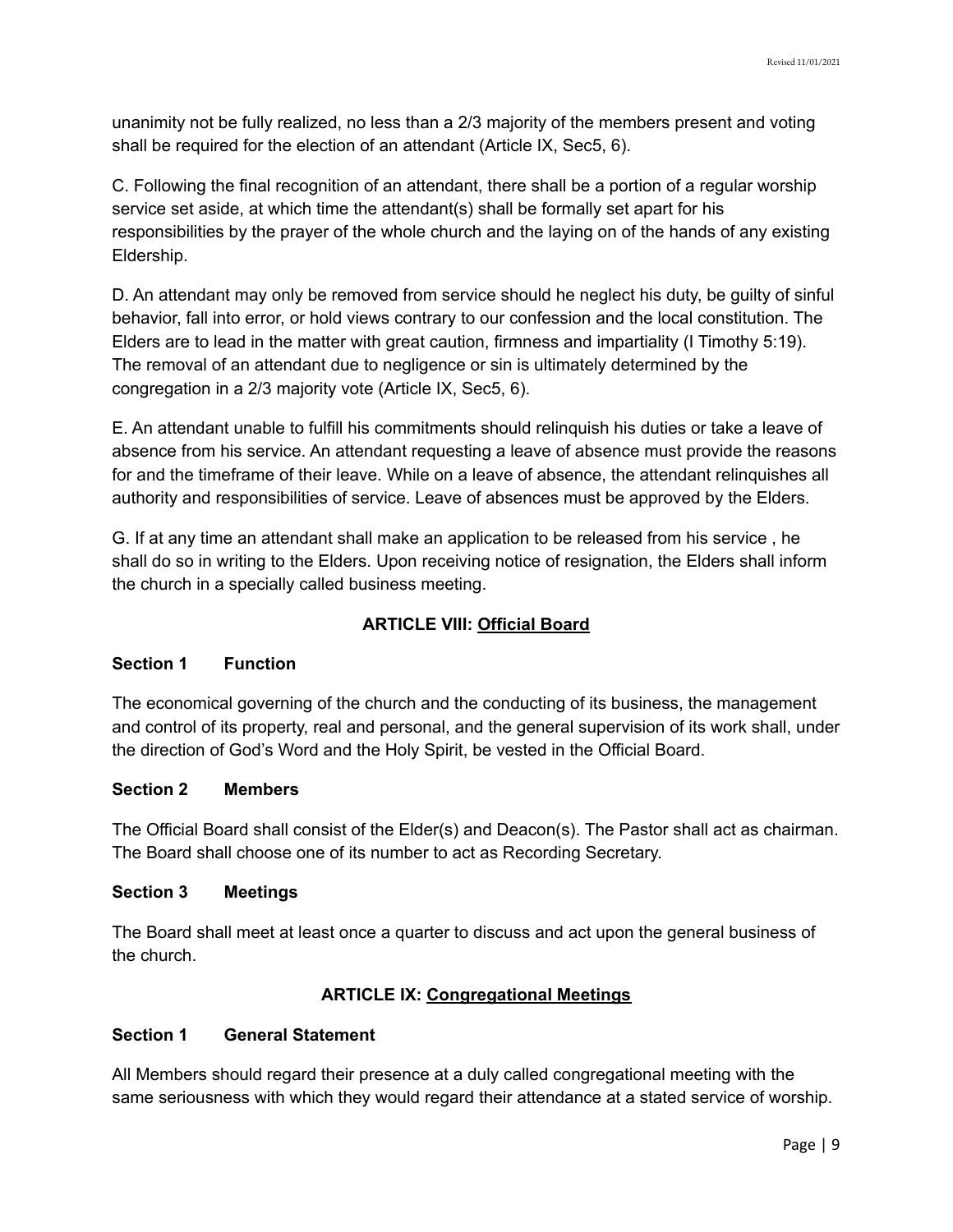unanimity not be fully realized, no less than a 2/3 majority of the members present and voting shall be required for the election of an attendant (Article IX, Sec5, 6).

C. Following the final recognition of an attendant, there shall be a portion of a regular worship service set aside, at which time the attendant(s) shall be formally set apart for his responsibilities by the prayer of the whole church and the laying on of the hands of any existing Eldership.

D. An attendant may only be removed from service should he neglect his duty, be guilty of sinful behavior, fall into error, or hold views contrary to our confession and the local constitution. The Elders are to lead in the matter with great caution, firmness and impartiality (I Timothy 5:19). The removal of an attendant due to negligence or sin is ultimately determined by the congregation in a 2/3 majority vote (Article IX, Sec5, 6).

E. An attendant unable to fulfill his commitments should relinquish his duties or take a leave of absence from his service. An attendant requesting a leave of absence must provide the reasons for and the timeframe of their leave. While on a leave of absence, the attendant relinquishes all authority and responsibilities of service. Leave of absences must be approved by the Elders.

G. If at any time an attendant shall make an application to be released from his service , he shall do so in writing to the Elders. Upon receiving notice of resignation, the Elders shall inform the church in a specially called business meeting.

# **ARTICLE VIII: Official Board**

# **Section 1 Function**

The economical governing of the church and the conducting of its business, the management and control of its property, real and personal, and the general supervision of its work shall, under the direction of God's Word and the Holy Spirit, be vested in the Official Board.

# **Section 2 Members**

The Official Board shall consist of the Elder(s) and Deacon(s). The Pastor shall act as chairman. The Board shall choose one of its number to act as Recording Secretary.

### **Section 3 Meetings**

The Board shall meet at least once a quarter to discuss and act upon the general business of the church.

# **ARTICLE IX: Congregational Meetings**

# **Section 1 General Statement**

All Members should regard their presence at a duly called congregational meeting with the same seriousness with which they would regard their attendance at a stated service of worship.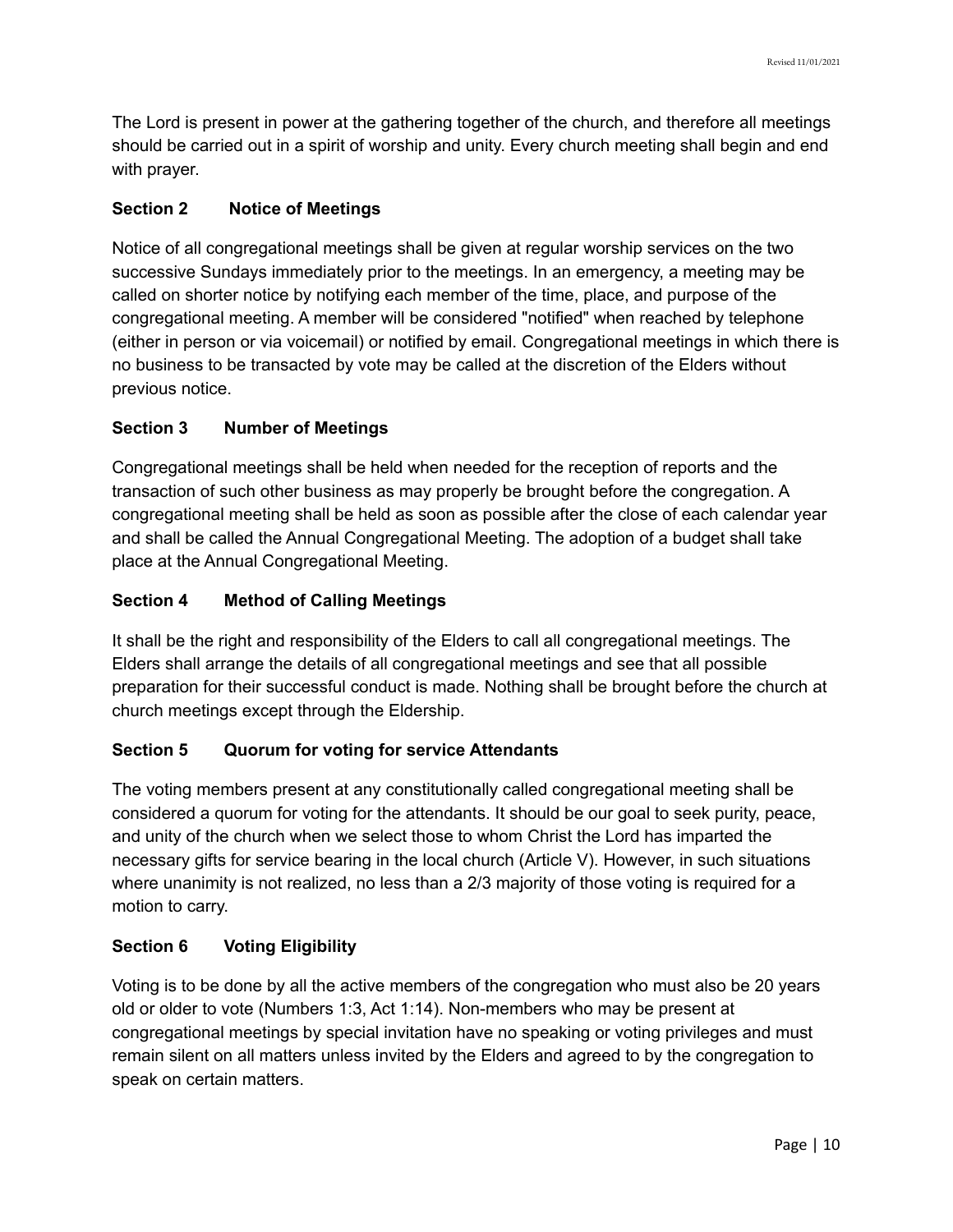The Lord is present in power at the gathering together of the church, and therefore all meetings should be carried out in a spirit of worship and unity. Every church meeting shall begin and end with prayer.

## **Section 2 Notice of Meetings**

Notice of all congregational meetings shall be given at regular worship services on the two successive Sundays immediately prior to the meetings. In an emergency, a meeting may be called on shorter notice by notifying each member of the time, place, and purpose of the congregational meeting. A member will be considered "notified" when reached by telephone (either in person or via voicemail) or notified by email. Congregational meetings in which there is no business to be transacted by vote may be called at the discretion of the Elders without previous notice.

## **Section 3 Number of Meetings**

Congregational meetings shall be held when needed for the reception of reports and the transaction of such other business as may properly be brought before the congregation. A congregational meeting shall be held as soon as possible after the close of each calendar year and shall be called the Annual Congregational Meeting. The adoption of a budget shall take place at the Annual Congregational Meeting.

## **Section 4 Method of Calling Meetings**

It shall be the right and responsibility of the Elders to call all congregational meetings. The Elders shall arrange the details of all congregational meetings and see that all possible preparation for their successful conduct is made. Nothing shall be brought before the church at church meetings except through the Eldership.

# **Section 5 Quorum for voting for service Attendants**

The voting members present at any constitutionally called congregational meeting shall be considered a quorum for voting for the attendants. It should be our goal to seek purity, peace, and unity of the church when we select those to whom Christ the Lord has imparted the necessary gifts for service bearing in the local church (Article V). However, in such situations where unanimity is not realized, no less than a 2/3 majority of those voting is required for a motion to carry.

# **Section 6 Voting Eligibility**

Voting is to be done by all the active members of the congregation who must also be 20 years old or older to vote (Numbers 1:3, Act 1:14). Non-members who may be present at congregational meetings by special invitation have no speaking or voting privileges and must remain silent on all matters unless invited by the Elders and agreed to by the congregation to speak on certain matters.